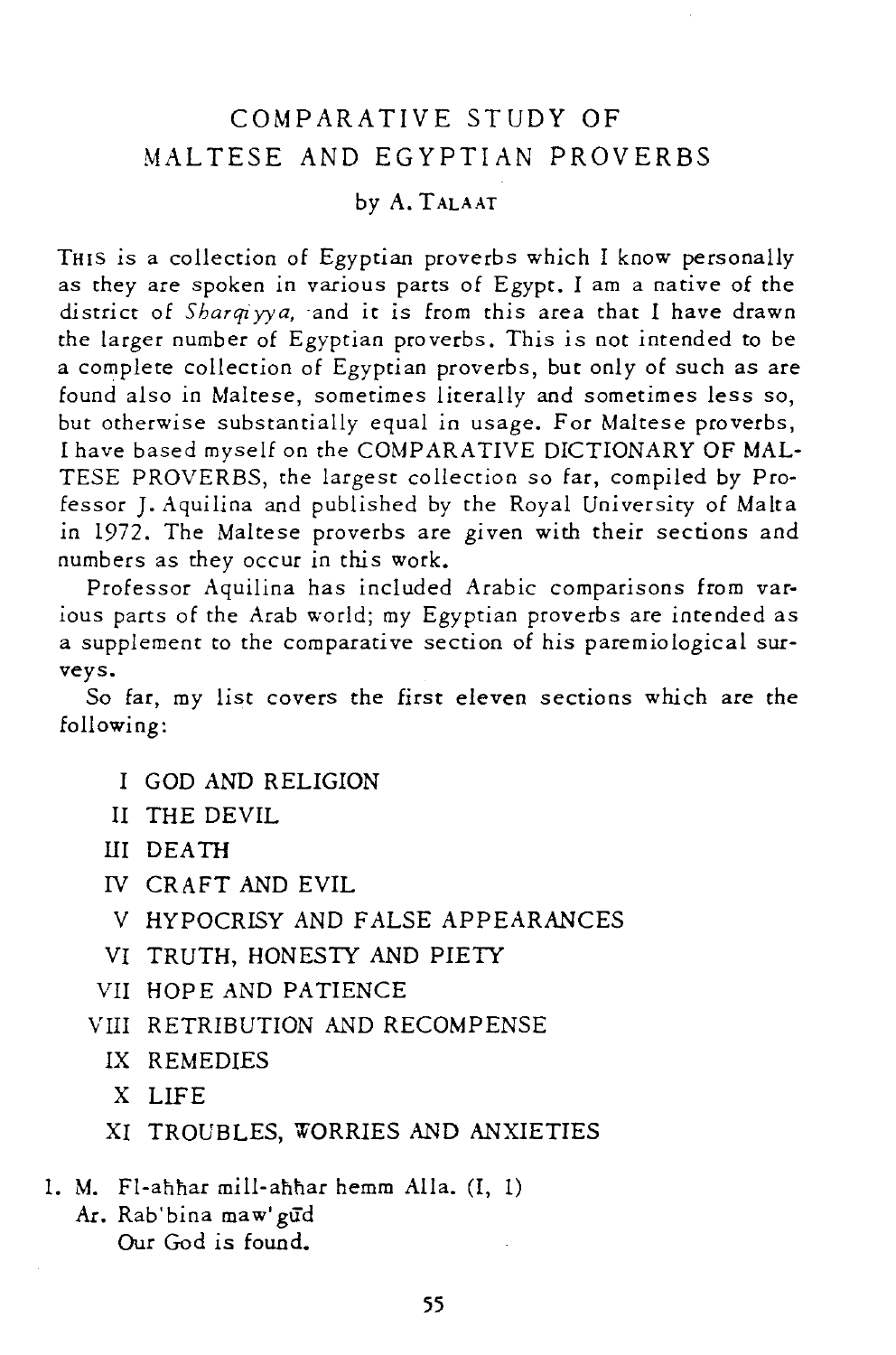## COMPARATIVE STUDY OF MALTESE AND EGYPTIAN PROVERBS

## by A. TALAAT

THIS is a collection of Egyptian proverbs which I know personally as they are spoken in various parts of Egypt. I am a native of the district of *Sharqiyya*, and it is from this area that I have drawn the larger number of Egyptian proverbs. This *is* not intended to be a complete collection of Egyptian proverbs, but only of such as are found also in Maltese, sometimes literally and sometimes less so, but otherwise substantially equal in usage. For Maltese proverbs, I have based myself on the COMPARATIVE DICTIONARY OF MAL-TESE PROVERBS, the largest collection so far, compiled by Professor J. Aquilina and published by the Royal University of Malta in 1972. The Maltese proverbs are given with their sections and numbers as they occur in this work.

Professor Aquilina has included Arabic comparisons from var*ious* parts of the Arab world; my Egyptian proverbs are intended as a supplement to the comparative section of *his* paremiological surveys.

So far, my list covers the first eleven sections which are the following:

- I GOD AND RELIGION
- II THE DEVIL
- III DEATH
- IV CRAFT AND EVIL
- V HYPOCRISY AND FALSE APPEARANCES
- VI TRUTH, HONESTY AND PIETY
- VII HOPE AND PATIENCE
- VIII RETRIBUTION AND RECOMPENSE
	- IX REMEDIES
	- X LIFE
	- XI TROUBLES, WORRIES AND ANXIETIES
- 1. M. Fl-ahhar mill-ahhar hemm Alla.  $(I, 1)$ 
	- Ar. Rab'bina maw' gud Our God *is* found.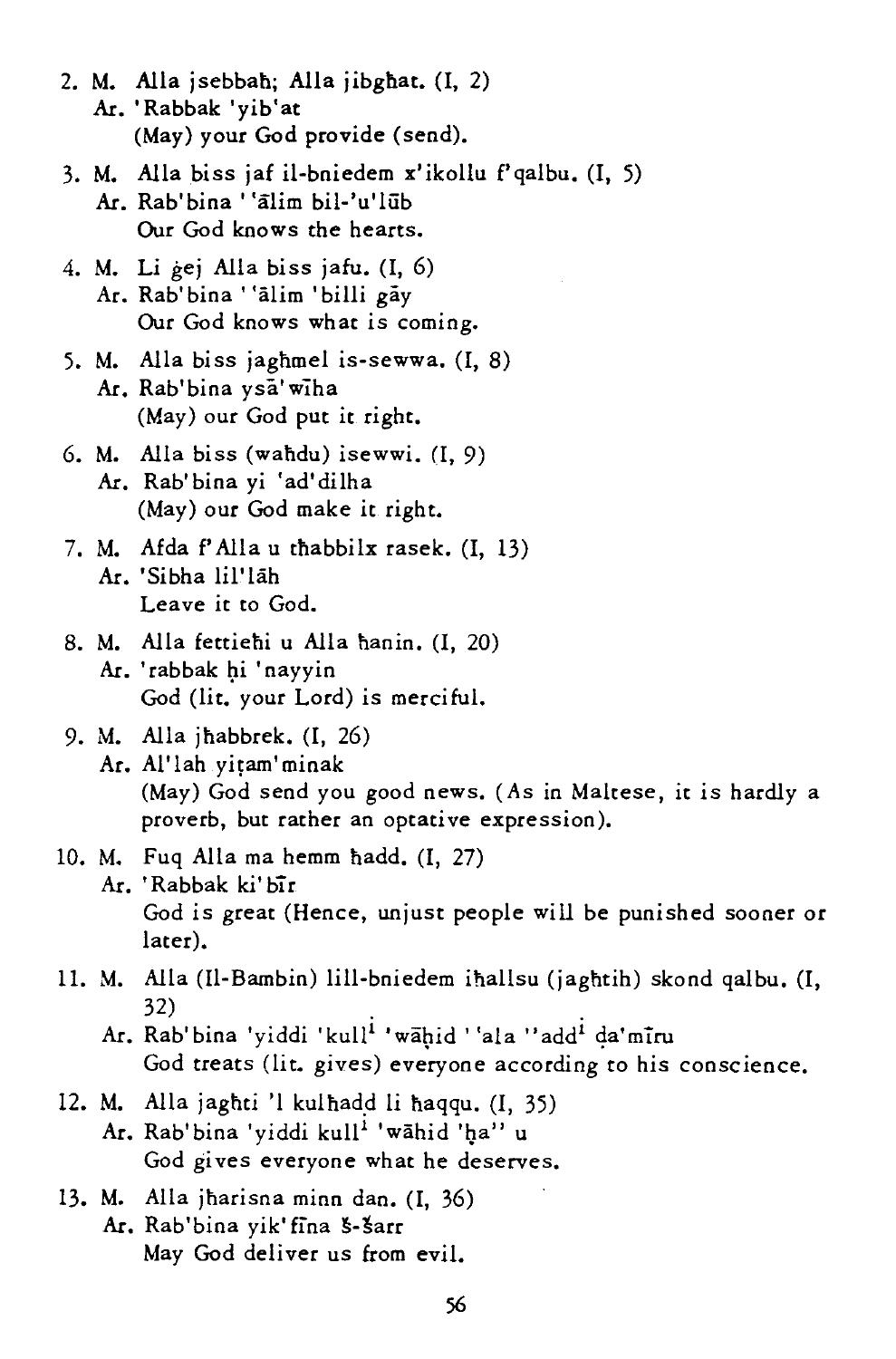- 2. M. AlIa jsebbab; AlIa jibgbat. (I, 2) At. 'Rabbak 'yib'at (May) your God provide (send).
- 3. M. Alla biss jaf il-bniedem x'ikollu f' qalbu.  $(I, 5)$ Ar. Rab'bina ''alim bil-'u'lub Our God knows the hearts.
- 4. M. Li gej AlIa biss jafu. (I, 6) Ar. Rab'bina ''alim 'billi gay Our God knows what is coming.
- 5. M. AlIa biss jagbmel is-sewwa. (I, 8) At. Rab'bina ysa'wiha (May) our God put it right.
- 6. M. AlIa biss (wahdu) isewwi. (1, 9) At. Rab'bina yi 'ad'dilha (May) our God make it right.
- 7. M. Afda f' AlIa u thabbilx rasek. (I, 13) Ar. 'Sibha lil'lāh Leave it to God.
- 8. M. AlIa fettiehi u AlIa banin. (1, 20) Ar. 'rabbak hi 'nayyin God (lit. your Lord) is merciful.

## 9. M. AlIa jhabbrek. (I, 26) Ar. Al'lah yitam' minak (May) God send you good news. (As in Maltese, it is hardly a proverb, but rather an optative expression).

- 10. M. Fuq Alla ma hemm hadd. (I, 27)
	- Ar. 'Rabbak ki'bīr God is great (Hence, unjust people will be punished sooner or later).
- 11. M. AlIa (Il-Bambin) lill-bniedem iballsu (jaghtih) skond qalbu. (I, 32)<br>Ar. Rab'bina 'yiddi 'kull<sup>i</sup> 'wāhid ''ala ''add<sup>i</sup> da'mīru
	- God treats *(lit.* gives) everyone according to his conscience.
- 12. M. Alla jaghti 'l kulhadd li haqqu. (I, 35) Ar. Rab'bina 'yiddi kull<sup>i</sup> 'wahid 'ha'' u God gives everyone what he deserves.
- 13. M. Alla jharisna minn dan. (I, 36) Ar. Rab'bina yik' fina 5-3arr May God deliver us from evil.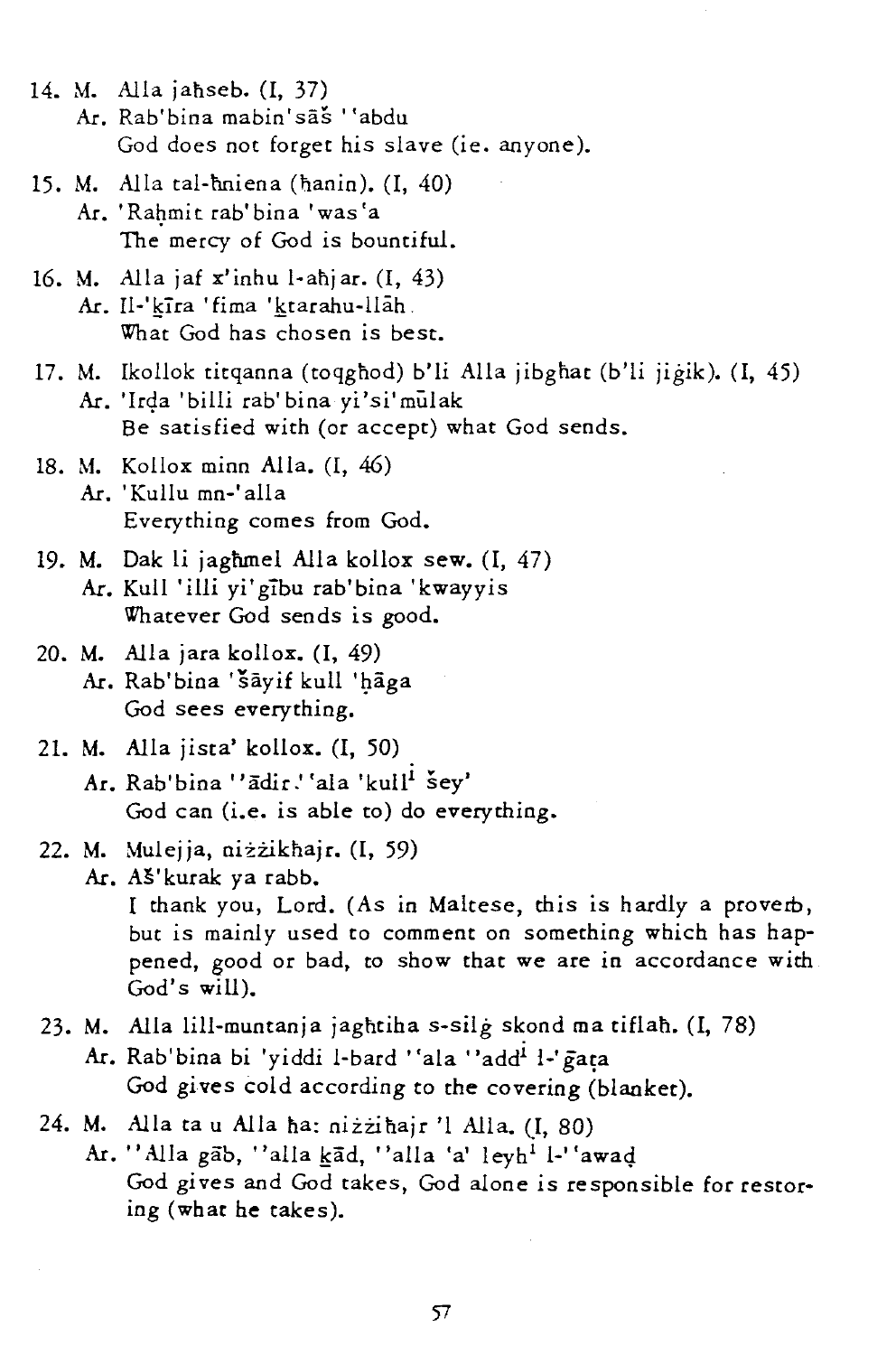- 14. M. Alla jahseb. (I. 37) Ar. Rab'bina mabin'sas "abdu God does not forget his slave (ie. anyone).
- 15. M. AlIa tal-hniena (nanin). (1, 40) Ar. 'Rahmit rab'bina 'was'a The mercy of God is bountiful.
- 16. M. Alla jaf  $x'$ inhu l-ahjar.  $(I, 43)$ Ar. Il-'kīra 'fima 'ktarahu-llāh. What God has chosen is best.
- 17. M. Ikollok titqanna (toqghod) b'li Alla jibghat (b'li jigik). (I, 45) Ar. 'Irda 'billi rab'bina yi'si'mulak Be satisfied with (or accept) what God sends.
- 18. M. Kollox minn Alla. (I, 46) Ar. 'Kullu mn-'alla Everything comes from God.
- 19. M. Oak li jaghmel AlIa kollox sew. (I, 47) Ar. Kull 'illi yi'gibu rab'bina 'kwayyis Whatever God sends is good.
- 20. M. AlIa jara kollox. (I, 49) Ar. Rab'bina 'šāyif kull 'hāga God sees everything.
- 21. M. Alla jista' kollox. (I, 50)
	- Ar. Rab'bina "ādir.' 'ala 'kull<sup>i</sup> Šev' God can (i.e. is able to) do everything.
- 22. M. Mulejja, niżzikhajr. (I, 59)
	- Ar. As'kurak ya rabb. I thank you, Lord. (As in Maltese, this is hardly a proverb, but is mainly used to comment on something which has happened, good or bad, to show that we are in accordance with God's will).
- 23. M. Alla lill-muntanja jaghtiha s-silg skond ma tiflah. (I, 78) Ar. Rab' bina bi 'yiddi 1-bard ''ala ''add<sup>i</sup> 1-' gata God gives cold according to the covering (blanket).
- 24. M. Alla ta u Alla ha: nizzihajr 'l Alla. (I, 80)
	- Ar. "Alla gab, "alla kad, "alla 'a' leyh' l-''awad God gives and God takes, God alone is responsible for restoring (what he takes).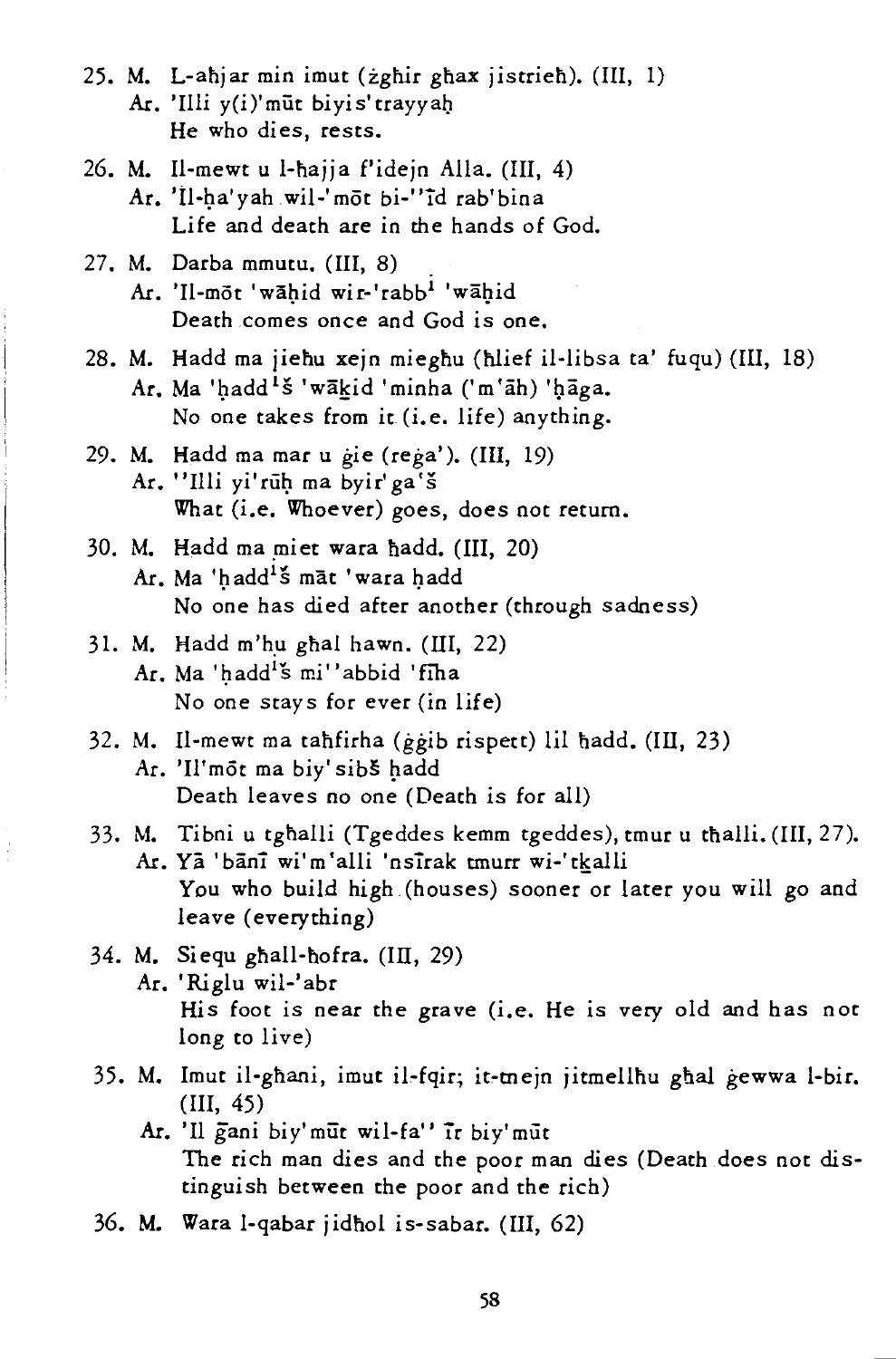- 25. M. L-ahjar min imut (zghir ghax jistrieh). (III, 1) Ar. 'Illi y(i)'miit biyis'trayyab He who dies, rests.
- 26. M. Il-mewt u l-hajja f'idejn Alla. (Ill, 4) Ar. 'Il-ha'yah wil-' mõt bi-"id rab'bina Life and death are in the hands of God.
- 27. M. Darba mmutu. (III, 8) . Ar. 'Il-mot 'wahid wir-'rabb<sup>i</sup> 'wahid Death comes once and God is one.
- 28. M. Hadd ma jiehu xejn mieghu (hlief il-libsa ta' fuqu) (III, 18) Ar. Ma 'hadd<sup>1</sup>š 'wākid 'minha ('m'āh) 'hāga. No one takes from it (i.e. life) anything.
- 29. M. Hadd ma mar u gie (rega'). (III, 19) Ar. "Illi yi'rūh ma byir' ga's What (i.e. Whoever) goes, does not return.
- 30. M. Hadd ma miet wara hadd. (III, 20) Ar. Ma 'hadd<sup>1'</sup>Š māt 'wara hadd No one has died after another (through sadness)
- 31. M. Hadd m'hu ghal hawn.  $(III, 22)$ Ar. Ma 'hadd<sup>1'</sup>s mi''abbid 'fiha No one stays for ever (in life)
- 32. M. Il-mewt ma tahfirha (ggib rispett) lil nadd. (Ill, 23) Ar. 'Il'mot ma biy' sibš hadd Death leaves no one (Death is for all)
- 33. M. Tibni u tghalli (Tgeddes kemm tgeddes), tmur u thalli. (III, 27). Ar. Ya 'banT wi'm'alli 'nsTrak tmurr wi-'tkalli You who build high (houses) sooner or later you will go and leave (everything)
- 34. M. Siequ ghall-hofra. (III, 29) Ar. 'Riglu wil-'abr His foot is near the grave (i.e. He is very old and has not long to live)
- 35. M. Imut il-gbani, imut il-fqir; it-mejn jitmellhu ghal gewwa l-bir. (Ill, 45)
	- Ar. '11 gani biy'mut wil-fa" ir biy'miit The rich man dies and the poor man dies (Death does not dis*tinguish* between the poor and the rich)
- 36. M. Wara l-qabar jidhol is-sabar. (Ill, 62)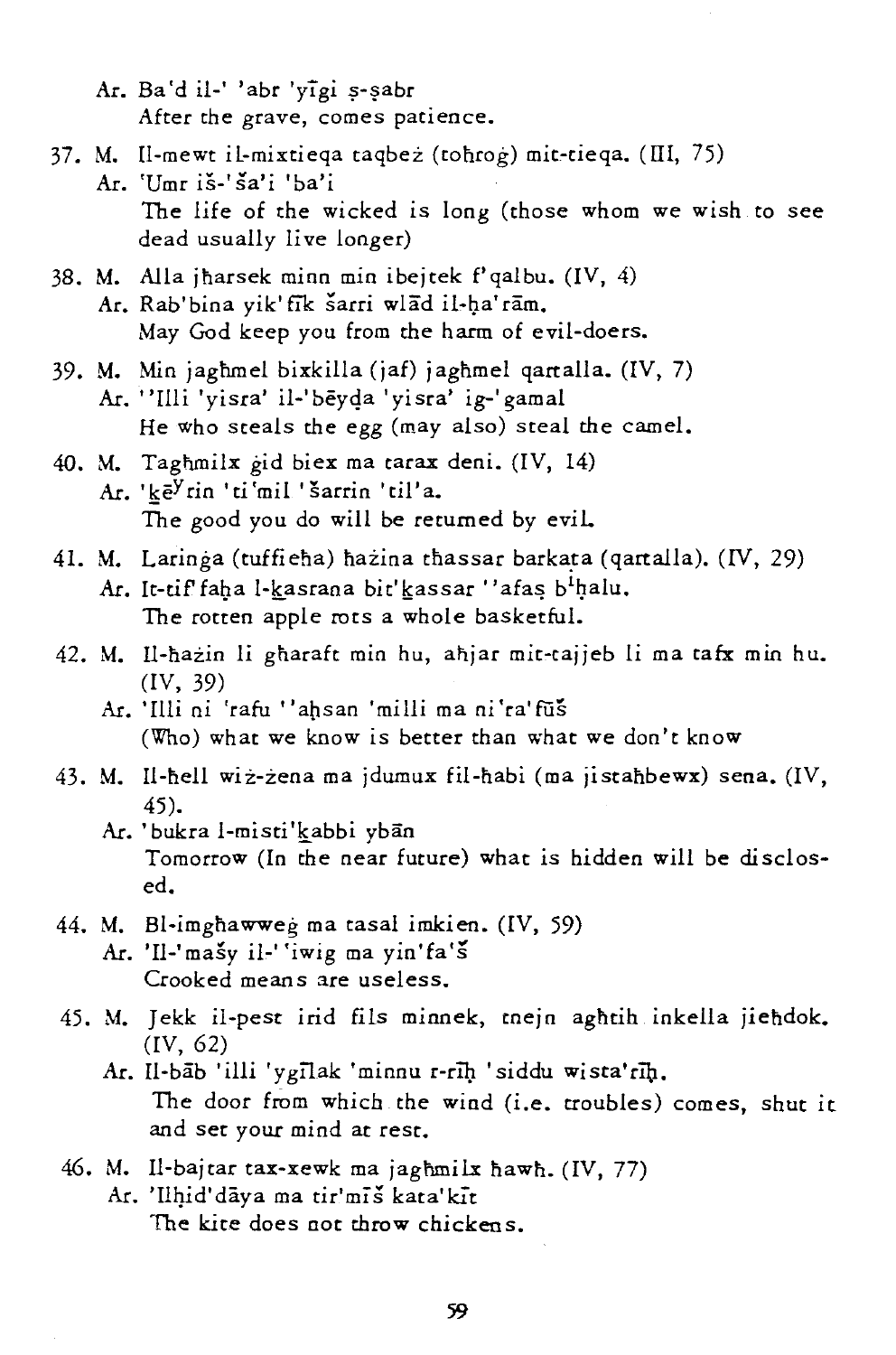- Ar. Ba'd il-' 'abr 'yīgi s-sabr After the grave, comes patience.
- 37. M. Il-mewt il-mixtieqa taqbez (tonrog) mit:-tieqa. (III, 75) Ar. 'Umr is-' sa'i 'ba'i The life of the wicked is long (those whom we wish to see dead usually live longer)
- 38. M. AlIa jharsek minn min ibejtek f'qalbu. (IV, 4) Ar. Rab' bina yik' fik sarri wlad il-ha'ram. May God keep you from the harm of evil-doers.
- 39. M. Min jaghmel bixkilla (jaf) jaghmel qartalla. (IV, 7) Ar. "Illi 'yisra' il-'beyqa 'yisra' ig-'gamal

He who steals the egg (may also) steal the camel.

- 40. M. Taghmilx gid biex ma tarax deni. (IV, 14) Ar. 'keY rin *'ti* 'mil 'sarrin 'til' a. The good you do will be returned by evil.
- 41. M. Laringa (tuffieha) hazina thassar barkata (qartalla). *(IV, 29)* Ar. It-tif faha l-kasrana bit' kassar "afas b<sup>1</sup>halu. The rotten apple rots a whole basketful.
- 42. M. ll-nazin li gharaft min hu, anjar mit-cajjeb li ma tafx min hu. (IV, 39)
	- M. 'Illi ni 'rafu "apsan 'milli ma ni'ra'fiis (Who) what we know is better than what we don't know
- 43. M. Il-nell wiz-zena ma jdumux fil-nabi (ma jistanbewx) sena. (IV, 45).
	- Ar. 'bukra l-misti'kabbi yban Tomorrow (In the near future) what is hidden will be disclosed.
- 44. M. Bl-imghawweg ma tasal imkien. (IV, 59)
	- Ar. 'Il-'masy il-' 'iwig ma yin'fa's Crooked means are useless.
- 45. M. Jekk il-pest irid fils minnek, tnejn aghtih inkella jiehdok. (IV, 62)
	- Ar. Il-bab 'illi 'ygilak 'minnu r-rih 'siddu wista'rih. The door from which the wind (i.e. troubles) comes, shut it and set your mind at rest.
- 46. M. Il-bajtar tax-xewk ma jaghmilx hawh. (IV, 77) Ar. 'Ilhid'daya ma tir'miš kata' kit

The kite does not throw chickens.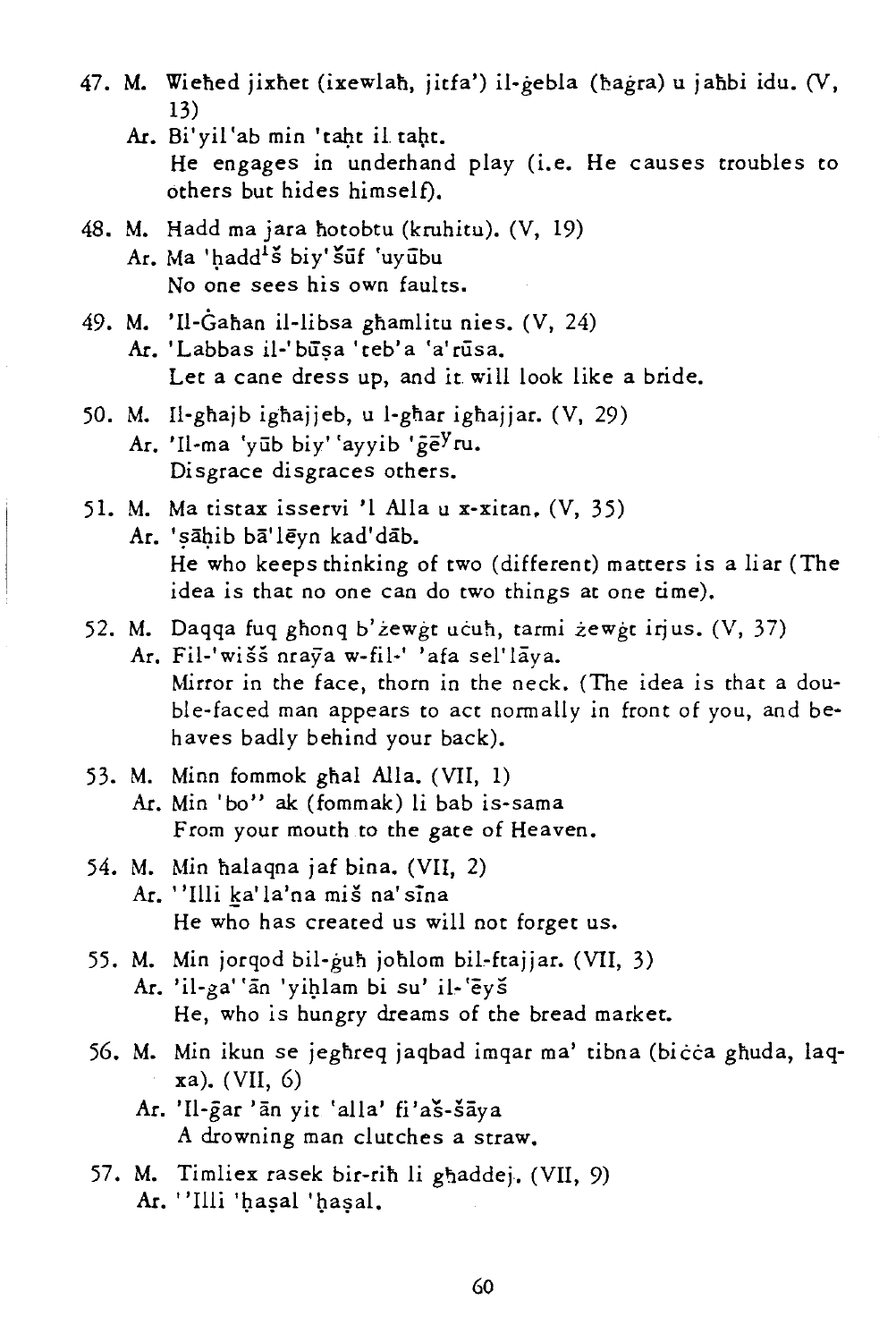- 47. M. Wiehed jixhet (ixewlah, jitfa') il-gebla (hagra) u jahbi idu. (V, 13)
	- Ar. Bi' yil 'ab min 'taht il taht. He engages in underhand play (i.e. He causes troubles to others but hides himself).
- 48. M. Hadd ma jara notobtu (kruhitu). (V, 19) Ar. Ma 'hadd<sup>1</sup>š biy' šūf 'uyubu No one sees his own faults.
- 49. M. 'Il-Gahan il-libsa ghamlitu nies. (V, 24) Ar. 'Labbas il-' būsa 'teb' a 'a'rūsa. Let a cane dress up, and it will look like a bride.
- 50. M. Il-gnajb ignajjeb, u l-gnar ignajjar. (V, 29) Ar. 'Il-ma 'vūb biy' 'ayyib 'ge<sup>y</sup>ru. Disgrace disgraces others.
- 51. M. Ma tistax isservi '1 AlIa u x-xitan. (V, 35) Ar. 'sāhib bā'lēvn kad'dāb. He who keeps thinking of two (different) matters is a liar (The idea is that no one can do two things at one time).
- 52. M. Daqqa fuq ghonq b' zewgt ucuh, tarmi zewgt irjus. (V, 37)
	- Ar. Fil-'wišš nrava w-fil-' 'afa sel'laya. Mirror in the face, thorn in the neck. (The idea is that a double-faced man appears to act normally in front of you, and behaves badly behind your back).
- 53. M. Minn fommok ghal Alla. (VII, 1) Ar. Min 'bo" ak (fommak) li bab is-sama From your mouth to the gate of Heaven.
- 54. M. Min nalaqna jaf bina. (VII, 2) Ar. "Illi ka' la'na miš na' sina He who has created us will not forget us.
- 55. M. Min jorqod bil-gun johlom bil-ftajjar. (VII, 3) Ar. 'il-ga' 'an 'yiglam bi su' il-'eys He, who is hungry dreams of the bread market.
- 56. M. Min ikun se jeghreq jaqbad imqar ma' tibna (bicca ghuda, laqxa). (VII, 6)
	- Ar. 'Il-gar 'an yit 'alla' fi'aš-šaya A drowning man clutches a straw.
- 57. M. Timliex rasek bir-rih li ghaddej. (VII, 9) Ar. ''Illi 'haşal 'haşal.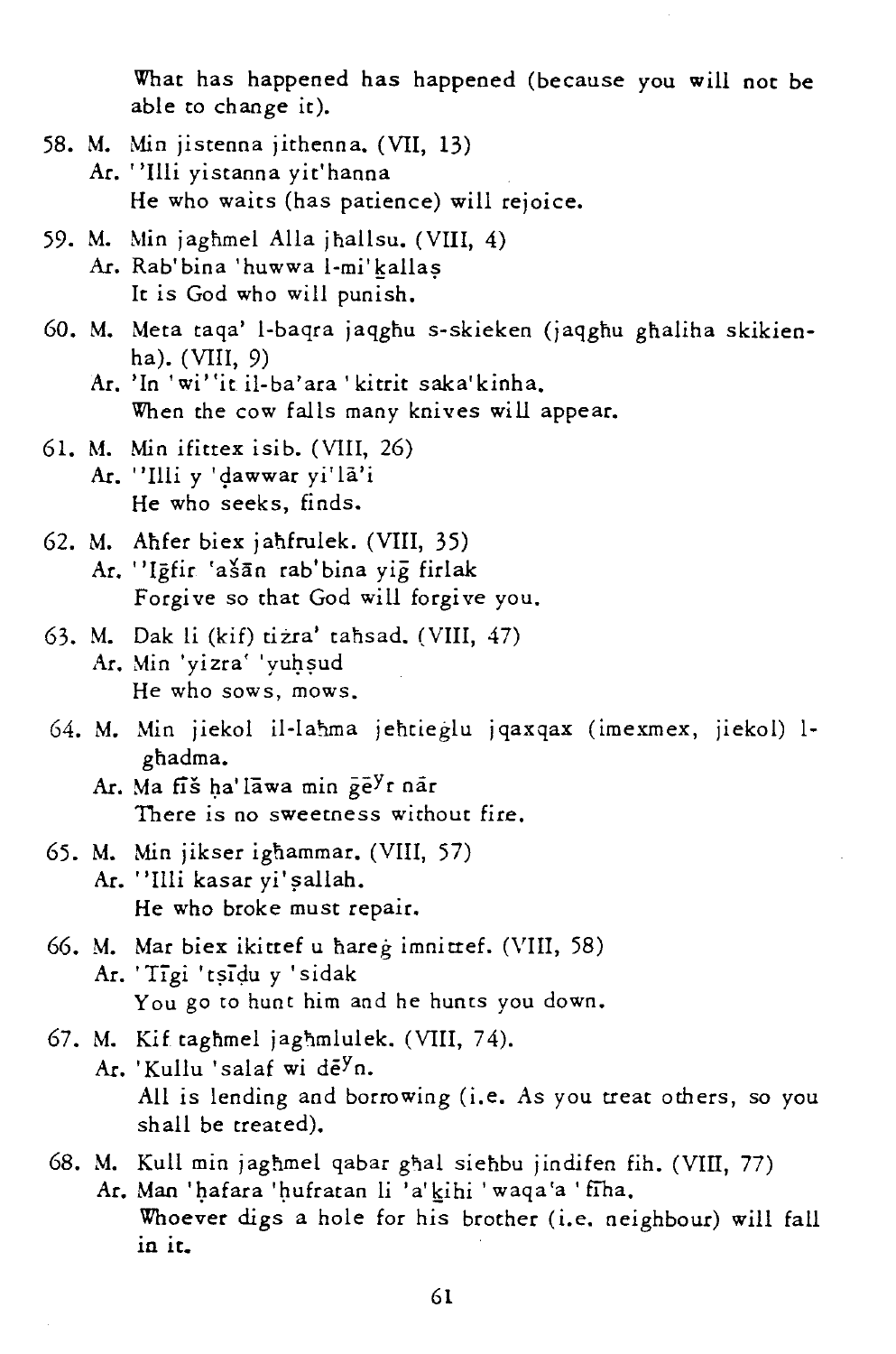What has happened has happened (because you will not be able to change it).

- 58. M. Min jistenna jithenna. (VII, 13)
	- Ar. "Illi yistanna yit'hanna He who waits (has patience) will rejoice.
- 59. M. Min jaghmel Alla jhal1su. (VIII, 4) Ar. Rab'bina 'huwwa l-mi'kallas It is God who will punish.
- 60. M. Meta taqa' l-baqra jaqghu s-skieken (jaqghu ghaliha skikienha). (VIII, 9)
	- Ar. 'In 'wi"it il-ba'ara' kitrit saka'kinha. When the cow falls many knives will appear.
- 61. M. Min ifittex isib. (VIII, 26) Ar. "Illi y 'dawwar yi'la'i He who seeks, finds.
- 62. M. Ahfer biex janfrulek. (VIII, 35) Ar. "Igfir 'ašān rab'bina vig firlak Forgive so that God will forgive you.
- 63. M. Oak li (kif) tizra' tahsad. (VIII, 47) Ar. Min 'yizra' 'yuhsud He who sows, mows.
- 64. M. Min jiekol il-lahma jehtieglu jqaxqax (imexmex, jiekol) lghadma.
	- Ar. Ma fiš ha' lāwa min ge<sup>y</sup>r nār There is no sweetness without fire.
- 65. M. Min jikser ighammar. (VIII, 57) Ar. "Illi kasar yi' şallah. He who broke must repair.
- 66. M. Mar biex ikittef u nareg imnittef. (VIII, 58) Ar. 'Tigi 'tsidu y 'sidak You go to hunt him and he hunts you down.
- 67. M. Kif taghmel jaghmlulek. (VIII, 74). Ar. 'Kullu 'salaf wi de<sup>y</sup>n. All *is* lending and borrowing (i.e. As you treat others, so you shall be treated).

## 68. M. Kull min jaghmel qabar ghal siehbu jindifen fih. (VIII, 77) Ar. Man 'hafara 'hufratan li 'a' kihi 'waqa'a ' fiha. Whoever digs a hole for his brother (i.e. neighbour) will fall in it\_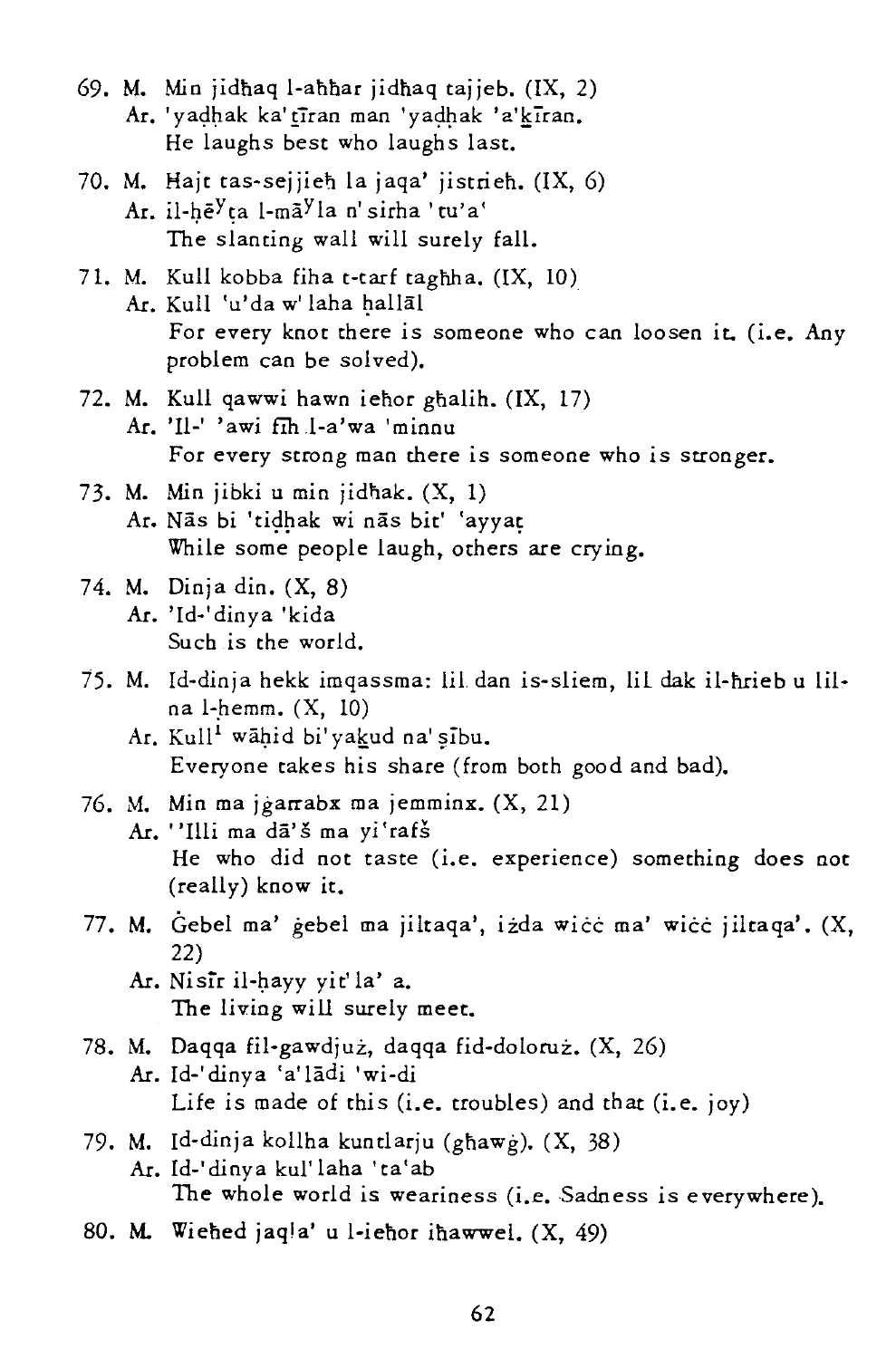- 69. M. Min jidhaq l-ahhar jidhaq tajjeb. (IX, 2) Ar. 'yadhak ka' tīran man 'yadhak 'a'kīran. He laughs best who laughs last.
- 70. M. Hajt tas-sejjieh la jaqa' jistrieh. (IX, 6) Ar. il-hē<sup>y</sup>ta l-mā<sup>y</sup>la n' sirha 'tu'a' The slanting wall will surely fall.
- 71. M. Kull kobba fiha t-tarf taghha.  $(IX, 10)$ Ar. Kull 'u'da w' laha hallāl For every knot there is someone who can loosen it, (i.e. Any problem can be solved).
- 72. M. Kull qawwi hawn iehor ghalih. (IX, 17) Ar. '11-' 'awi fih .l-a'wa 'minnu For every strong man there is someone who is stronger.
- 73. M. Min jibki u min jidnak. (X, 1) Ar. Nās bi 'tidhak wi nās bit' 'ayyat While some people laugh, others are crying.
- 74. M. Dinja din. (X, 8) Ar. 'Id-'dinya 'kida Such is the world.
- 75. M. Id-dinja hekk imqassma: lit dan is-sliem, lit dak il-hrieb u lilna l-hemm.  $(X, 10)$ 
	- Ar. Kull<sup>1</sup> wähid bi'yakud na' sibu. Everyone takes his share (from both good and bad).
- 76. M. Min ma jgarrabx ma jemminx. (X, 21)
	- Ar. "Illi ma dā'š ma yi'rafš He who did not taste (i.e. experience) something does not (really) know it.
- 77. M. Gebel ma' gebel ma jiltaqa', izda wicc ma' wicc jiltaqa'. (X, 22)
	- Ar. Nisir il-hayy yit'la' a. The living will surely meet.
- 78. M. Daqqa fil-gawdjuz, daqqa fid-doloruz. (X, 26) Ar. Id-'dinya 'a' lādi 'wi-di Life is made of this (i.e. troubles) and that (i.e. joy)
- 79. M. Id-dinja kollha kuntlarju (ghawg).  $(X, 38)$ Ar. Id-'dinya kul'laha 'ta'ab The whole world is weariness (i.e. Sadness is everywhere).
- 80. M. Wiened jaqla' u l-ienor inawwel. (X, 49)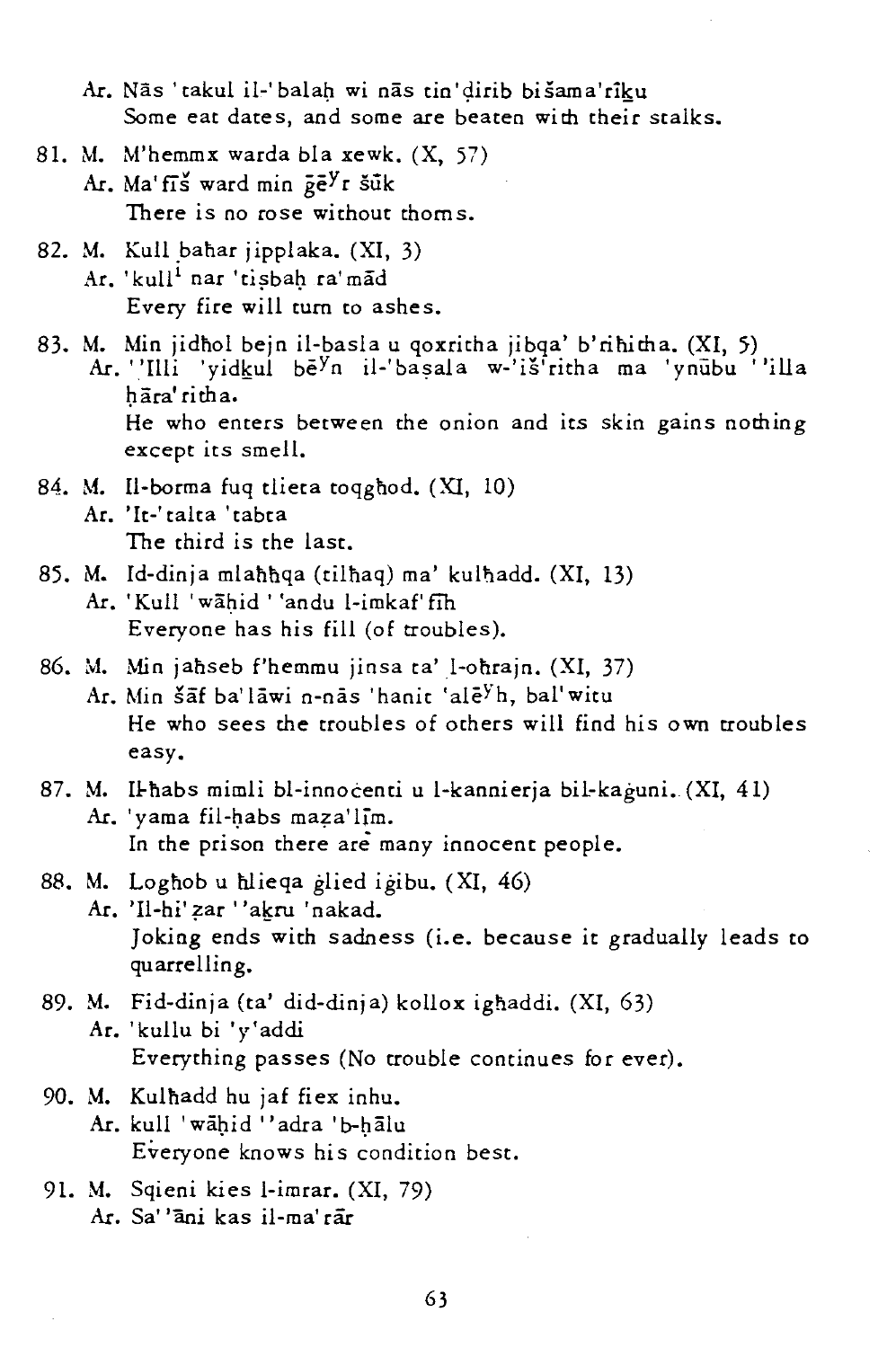Ar. Nās 'takul il-'balah wi nās tin'dirib bišama'rīku Some eat dates, and some are beaten with their stalks.

- 81. M. M'hemmx warda bla xewk. (X, 57) Ar. Ma' fis ward min  $\bar{p}e^{y}r$  šūk There is no rose without thoms.
- 82. M. Kull bahar jipplaka. (XI, 3) Ar. 'kull<sup>i</sup> nar 'tisbah ra'mad Every fire will turn to ashes.
- 83. M. Min jidhol bejn il-basla u qoxritha jibqa' b'rihitha. (XI, 5) Ar. 'Illi 'yidkul be<sup>y</sup>n il-'başala w-'iš'ritha ma 'ynubu ''illa hāra' ritha. He who enters between the onion and its skin gains nothing except its smell.
- 84. M. Il-borma fuq tlieta toqghod. (XI, 10) Ar. ' It-' talta 'tabta The third is the last.
- 85. M. Id-dinja mlahhqa (tilhaq) ma' kulhadd. (XI, 13)
	- Ar. 'Kull 'wahid ' 'andu l-imkaf' fih Everyone has his fill (of troubles).
- 86. M. Min jahseb f'hemmu jinsa ta' l-ohrajn. (XI, 37)
	- Ar. Min šāf ba' lāwi n-nās 'hanit 'ale<sup>y</sup>h, bal' witu He who sees the troubles of others will find his own troubles easy.
- 87. M. Il-habs mimli bl-innocenti u l-kannierja bil-kaguni. (XI, 41) Ar. 'yama fil-habs maza'lim. In the prison there are many innocent people.
- 88. M. Loghob u hlieqa glied igibu. (XI, 46)
	- Ar. 'Il-hi' zar ''akru 'nakad. Joking ends with sadness (i.e. because it gradually leads to quarrelling.
- 89. M. Fid-dinja (ta' did-dinja) kollox ignaddi. (XI, 63) Ar. 'kullu bi 'y'addi Everything passes (No trouble continues for ever).
- 90. M. Kulnadd hu jaf fiex inhu.
	- Ar. kull 'wāhid "adra 'b-hālu Everyone knows his condition best.
- 91. M. Sqieni kies l-imrar. (XI, 79) Ar. Sa' *'ani* kas il-ma'rar